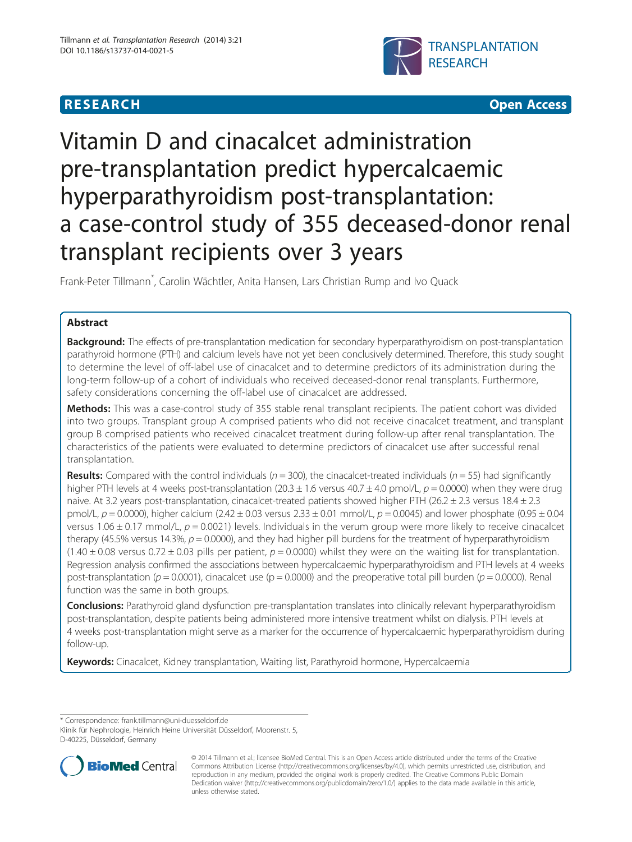## **RESEARCH CHEAR CHEAR CHEAR CHEAR CHEAR CHEAR CHEAR CHEAR CHEAR CHEAR CHEAR CHEAR CHEAR CHEAR CHEAR CHEAR CHEAR**



# Vitamin D and cinacalcet administration pre-transplantation predict hypercalcaemic hyperparathyroidism post-transplantation: a case-control study of 355 deceased-donor renal transplant recipients over 3 years

Frank-Peter Tillmann\* , Carolin Wächtler, Anita Hansen, Lars Christian Rump and Ivo Quack

### Abstract

**Background:** The effects of pre-transplantation medication for secondary hyperparathyroidism on post-transplantation parathyroid hormone (PTH) and calcium levels have not yet been conclusively determined. Therefore, this study sought to determine the level of off-label use of cinacalcet and to determine predictors of its administration during the long-term follow-up of a cohort of individuals who received deceased-donor renal transplants. Furthermore, safety considerations concerning the off-label use of cinacalcet are addressed.

Methods: This was a case-control study of 355 stable renal transplant recipients. The patient cohort was divided into two groups. Transplant group A comprised patients who did not receive cinacalcet treatment, and transplant group B comprised patients who received cinacalcet treatment during follow-up after renal transplantation. The characteristics of the patients were evaluated to determine predictors of cinacalcet use after successful renal transplantation.

**Results:** Compared with the control individuals ( $n = 300$ ), the cinacalcet-treated individuals ( $n = 55$ ) had significantly higher PTH levels at 4 weeks post-transplantation  $(20.3 \pm 1.6$  versus  $40.7 \pm 4.0$  pmol/L,  $p = 0.0000$ ) when they were drug naive. At 3.2 years post-transplantation, cinacalcet-treated patients showed higher PTH (26.2 ± 2.3 versus 18.4 ± 2.3 pmol/L,  $p = 0.0000$ ), higher calcium (2.42 ± 0.03 versus 2.33 ± 0.01 mmol/L,  $p = 0.0045$ ) and lower phosphate (0.95 ± 0.04 versus 1.06  $\pm$  0.17 mmol/L,  $p = 0.0021$ ) levels. Individuals in the verum group were more likely to receive cinacalcet therapy (45.5% versus 14.3%,  $p = 0.0000$ ), and they had higher pill burdens for the treatment of hyperparathyroidism  $(1.40 \pm 0.08$  versus 0.72  $\pm$  0.03 pills per patient,  $p = 0.0000$ ) whilst they were on the waiting list for transplantation. Regression analysis confirmed the associations between hypercalcaemic hyperparathyroidism and PTH levels at 4 weeks post-transplantation ( $p = 0.0001$ ), cinacalcet use ( $p = 0.0000$ ) and the preoperative total pill burden ( $p = 0.0000$ ). Renal function was the same in both groups.

**Conclusions:** Parathyroid gland dysfunction pre-transplantation translates into clinically relevant hyperparathyroidism post-transplantation, despite patients being administered more intensive treatment whilst on dialysis. PTH levels at 4 weeks post-transplantation might serve as a marker for the occurrence of hypercalcaemic hyperparathyroidism during follow-up.

Keywords: Cinacalcet, Kidney transplantation, Waiting list, Parathyroid hormone, Hypercalcaemia

\* Correspondence: [frank.tillmann@uni-duesseldorf.de](mailto:frank.tillmann@uni-duesseldorf.de)

Klinik für Nephrologie, Heinrich Heine Universität Düsseldorf, Moorenstr. 5, D-40225, Düsseldorf, Germany



<sup>© 2014</sup> Tillmann et al.; licensee BioMed Central. This is an Open Access article distributed under the terms of the Creative Commons Attribution License [\(http://creativecommons.org/licenses/by/4.0\)](http://creativecommons.org/licenses/by/4.0), which permits unrestricted use, distribution, and reproduction in any medium, provided the original work is properly credited. The Creative Commons Public Domain Dedication waiver [\(http://creativecommons.org/publicdomain/zero/1.0/](http://creativecommons.org/publicdomain/zero/1.0/)) applies to the data made available in this article, unless otherwise stated.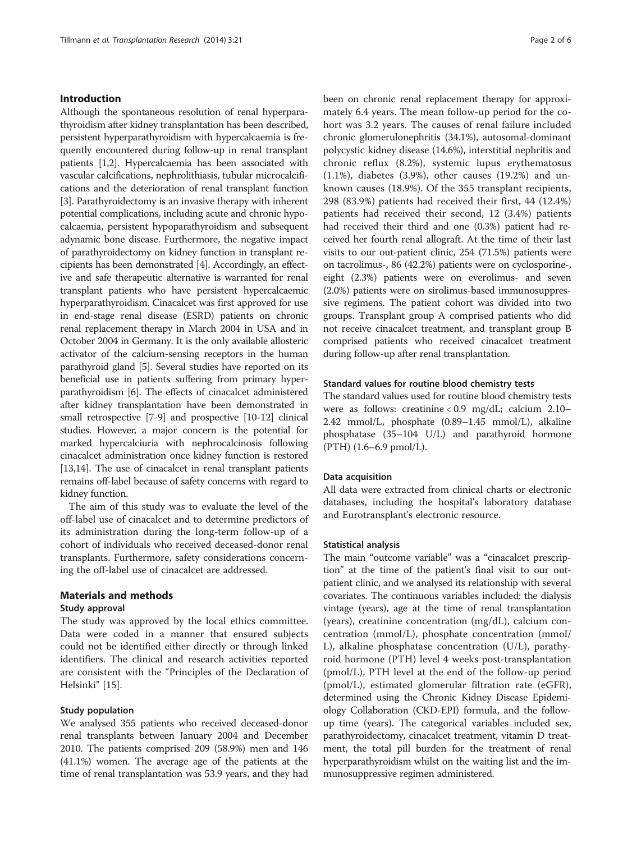### Introduction

Although the spontaneous resolution of renal hyperparathyroidism after kidney transplantation has been described, persistent hyperparathyroidism with hypercalcaemia is frequently encountered during follow-up in renal transplant patients [\[1,2\]](#page-4-0). Hypercalcaemia has been associated with vascular calcifications, nephrolithiasis, tubular microcalcifications and the deterioration of renal transplant function [[3\]](#page-4-0). Parathyroidectomy is an invasive therapy with inherent potential complications, including acute and chronic hypocalcaemia, persistent hypoparathyroidism and subsequent adynamic bone disease. Furthermore, the negative impact of parathyroidectomy on kidney function in transplant recipients has been demonstrated [\[4\]](#page-4-0). Accordingly, an effective and safe therapeutic alternative is warranted for renal transplant patients who have persistent hypercalcaemic hyperparathyroidism. Cinacalcet was first approved for use in end-stage renal disease (ESRD) patients on chronic renal replacement therapy in March 2004 in USA and in October 2004 in Germany. It is the only available allosteric activator of the calcium-sensing receptors in the human parathyroid gland [[5\]](#page-4-0). Several studies have reported on its beneficial use in patients suffering from primary hyperparathyroidism [\[6](#page-4-0)]. The effects of cinacalcet administered after kidney transplantation have been demonstrated in small retrospective [\[7](#page-4-0)-[9](#page-5-0)] and prospective [[10](#page-5-0)-[12](#page-5-0)] clinical studies. However, a major concern is the potential for marked hypercalciuria with nephrocalcinosis following cinacalcet administration once kidney function is restored [[13,14\]](#page-5-0). The use of cinacalcet in renal transplant patients remains off-label because of safety concerns with regard to kidney function.

The aim of this study was to evaluate the level of the off-label use of cinacalcet and to determine predictors of its administration during the long-term follow-up of a cohort of individuals who received deceased-donor renal transplants. Furthermore, safety considerations concerning the off-label use of cinacalcet are addressed.

### Materials and methods

### Study approval

The study was approved by the local ethics committee. Data were coded in a manner that ensured subjects could not be identified either directly or through linked identifiers. The clinical and research activities reported are consistent with the "Principles of the Declaration of Helsinki" [\[15\]](#page-5-0).

### Study population

We analysed 355 patients who received deceased-donor renal transplants between January 2004 and December 2010. The patients comprised 209 (58.9%) men and 146 (41.1%) women. The average age of the patients at the time of renal transplantation was 53.9 years, and they had been on chronic renal replacement therapy for approximately 6.4 years. The mean follow-up period for the cohort was 3.2 years. The causes of renal failure included chronic glomerulonephritis (34.1%), autosomal-dominant polycystic kidney disease (14.6%), interstitial nephritis and chronic reflux (8.2%), systemic lupus erythematosus (1.1%), diabetes (3.9%), other causes (19.2%) and unknown causes (18.9%). Of the 355 transplant recipients, 298 (83.9%) patients had received their first, 44 (12.4%) patients had received their second, 12 (3.4%) patients had received their third and one (0.3%) patient had received her fourth renal allograft. At the time of their last visits to our out-patient clinic, 254 (71.5%) patients were on tacrolimus-, 86 (42.2%) patients were on cyclosporine-, eight (2.3%) patients were on everolimus- and seven (2.0%) patients were on sirolimus-based immunosuppressive regimens. The patient cohort was divided into two groups. Transplant group A comprised patients who did not receive cinacalcet treatment, and transplant group B comprised patients who received cinacalcet treatment during follow-up after renal transplantation.

### Standard values for routine blood chemistry tests

The standard values used for routine blood chemistry tests were as follows: creatinine < 0.9 mg/dL; calcium 2.10– 2.42 mmol/L, phosphate (0.89–1.45 mmol/L), alkaline phosphatase (35–104 U/L) and parathyroid hormone (PTH) (1.6–6.9 pmol/L).

### Data acquisition

All data were extracted from clinical charts or electronic databases, including the hospital's laboratory database and Eurotransplant's electronic resource.

### Statistical analysis

The main "outcome variable" was a "cinacalcet prescription" at the time of the patient's final visit to our outpatient clinic, and we analysed its relationship with several covariates. The continuous variables included: the dialysis vintage (years), age at the time of renal transplantation (years), creatinine concentration (mg/dL), calcium concentration (mmol/L), phosphate concentration (mmol/ L), alkaline phosphatase concentration (U/L), parathyroid hormone (PTH) level 4 weeks post-transplantation (pmol/L), PTH level at the end of the follow-up period (pmol/L), estimated glomerular filtration rate (eGFR), determined using the Chronic Kidney Disease Epidemiology Collaboration (CKD-EPI) formula, and the followup time (years). The categorical variables included sex, parathyroidectomy, cinacalcet treatment, vitamin D treatment, the total pill burden for the treatment of renal hyperparathyroidism whilst on the waiting list and the immunosuppressive regimen administered.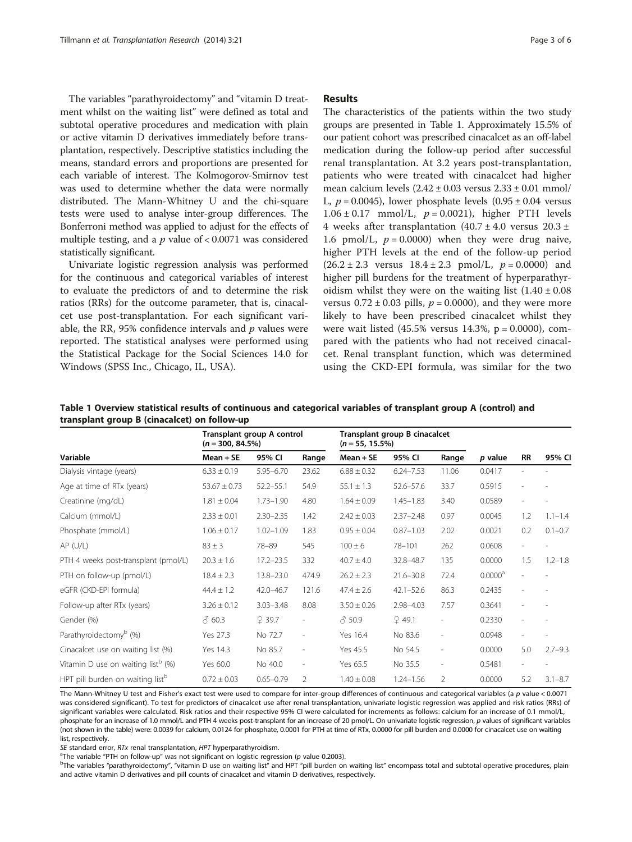The variables "parathyroidectomy" and "vitamin D treatment whilst on the waiting list" were defined as total and subtotal operative procedures and medication with plain or active vitamin D derivatives immediately before transplantation, respectively. Descriptive statistics including the means, standard errors and proportions are presented for each variable of interest. The Kolmogorov-Smirnov test was used to determine whether the data were normally distributed. The Mann-Whitney U and the chi-square tests were used to analyse inter-group differences. The Bonferroni method was applied to adjust for the effects of multiple testing, and a  $p$  value of < 0.0071 was considered statistically significant.

Univariate logistic regression analysis was performed for the continuous and categorical variables of interest to evaluate the predictors of and to determine the risk ratios (RRs) for the outcome parameter, that is, cinacalcet use post-transplantation. For each significant variable, the RR, 95% confidence intervals and  $p$  values were reported. The statistical analyses were performed using the Statistical Package for the Social Sciences 14.0 for Windows (SPSS Inc., Chicago, IL, USA).

### Results

The characteristics of the patients within the two study groups are presented in Table 1. Approximately 15.5% of our patient cohort was prescribed cinacalcet as an off-label medication during the follow-up period after successful renal transplantation. At 3.2 years post-transplantation, patients who were treated with cinacalcet had higher mean calcium levels  $(2.42 \pm 0.03$  versus  $2.33 \pm 0.01$  mmol/ L,  $p = 0.0045$ ), lower phosphate levels  $(0.95 \pm 0.04$  versus  $1.06 \pm 0.17$  mmol/L,  $p = 0.0021$ ), higher PTH levels 4 weeks after transplantation  $(40.7 \pm 4.0$  versus  $20.3 \pm$ 1.6 pmol/L,  $p = 0.0000$ ) when they were drug naive, higher PTH levels at the end of the follow-up period  $(26.2 \pm 2.3 \text{ versus } 18.4 \pm 2.3 \text{ pmol/L}, p = 0.0000) \text{ and}$ higher pill burdens for the treatment of hyperparathyroidism whilst they were on the waiting list  $(1.40 \pm 0.08)$ versus  $0.72 \pm 0.03$  pills,  $p = 0.0000$ ), and they were more likely to have been prescribed cinacalcet whilst they were wait listed  $(45.5\% \text{ versus } 14.3\%, \text{ p} = 0.0000), \text{ com-}$ pared with the patients who had not received cinacalcet. Renal transplant function, which was determined using the CKD-EPI formula, was similar for the two

| Variable                                       | Transplant group A control<br>$(n = 300, 84.5\%)$ |               |                          | Transplant group B cinacalcet<br>$(n = 55, 15.5\%)$ |               |                          |                     |                          |             |
|------------------------------------------------|---------------------------------------------------|---------------|--------------------------|-----------------------------------------------------|---------------|--------------------------|---------------------|--------------------------|-------------|
|                                                | $Mean + SE$                                       | 95% CI        | Range                    | $Mean + SE$                                         | 95% CI        | Range                    | p value             | RR                       | 95% CI      |
| Dialysis vintage (years)                       | $6.33 \pm 0.19$                                   | $5.95 - 6.70$ | 23.62                    | $6.88 \pm 0.32$                                     | $6.24 - 7.53$ | 11.06                    | 0.0417              |                          |             |
| Age at time of RTx (years)                     | $53.67 \pm 0.73$                                  | $52.2 - 55.1$ | 54.9                     | $55.1 \pm 1.3$                                      | $52.6 - 57.6$ | 33.7                     | 0.5915              | $\overline{a}$           |             |
| Creatinine (mg/dL)                             | $1.81 \pm 0.04$                                   | $1.73 - 1.90$ | 4.80                     | $1.64 \pm 0.09$                                     | $1.45 - 1.83$ | 3.40                     | 0.0589              | ÷,                       |             |
| Calcium (mmol/L)                               | $2.33 \pm 0.01$                                   | $2.30 - 2.35$ | 1.42                     | $2.42 \pm 0.03$                                     | $2.37 - 2.48$ | 0.97                     | 0.0045              | 1.2                      | $1.1 - 1.4$ |
| Phosphate (mmol/L)                             | $1.06 \pm 0.17$                                   | $1.02 - 1.09$ | 1.83                     | $0.95 \pm 0.04$                                     | $0.87 - 1.03$ | 2.02                     | 0.0021              | 0.2                      | $0.1 - 0.7$ |
| $AP$ (U/L)                                     | $83 \pm 3$                                        | 78-89         | 545                      | $100 \pm 6$                                         | 78-101        | 262                      | 0.0608              | $\overline{\phantom{0}}$ |             |
| PTH 4 weeks post-transplant (pmol/L)           | $20.3 \pm 1.6$                                    | $17.2 - 23.5$ | 332                      | $40.7 \pm 4.0$                                      | 32.8-48.7     | 135                      | 0.0000              | 1.5                      | $1.2 - 1.8$ |
| PTH on follow-up (pmol/L)                      | $18.4 \pm 2.3$                                    | $13.8 - 23.0$ | 474.9                    | $26.2 \pm 2.3$                                      | $21.6 - 30.8$ | 72.4                     | 0.0000 <sup>a</sup> | $\overline{a}$           |             |
| eGFR (CKD-EPI formula)                         | $44.4 \pm 1.2$                                    | $42.0 - 46.7$ | 121.6                    | $47.4 \pm 2.6$                                      | $42.1 - 52.6$ | 86.3                     | 0.2435              | $\overline{a}$           |             |
| Follow-up after RTx (years)                    | $3.26 \pm 0.12$                                   | $3.03 - 3.48$ | 8.08                     | $3.50 \pm 0.26$                                     | 2.98-4.03     | 7.57                     | 0.3641              |                          |             |
| Gender (%)                                     | $\beta$ 60.3                                      | 9.7           |                          | $\beta$ 50.9                                        | $Q$ 49.1      |                          | 0.2330              | $\overline{\phantom{a}}$ |             |
| Parathyroidectomy <sup>b</sup> (%)             | Yes 27.3                                          | No 72.7       | $\overline{\phantom{a}}$ | Yes 16.4                                            | No 83.6       | $\overline{\phantom{a}}$ | 0.0948              | $\overline{a}$           |             |
| Cinacalcet use on waiting list (%)             | Yes 14.3                                          | No 85.7       | $\overline{\phantom{a}}$ | Yes 45.5                                            | No 54.5       | $\sim$                   | 0.0000              | 5.0                      | $2.7 - 9.3$ |
| Vitamin D use on waiting list <sup>b</sup> (%) | Yes 60.0                                          | No 40.0       | $\overline{\phantom{a}}$ | Yes 65.5                                            | No 35.5       | $\overline{\phantom{a}}$ | 0.5481              | $\overline{a}$           |             |
| HPT pill burden on waiting list <sup>b</sup>   | $0.72 \pm 0.03$                                   | $0.65 - 0.79$ | $\overline{2}$           | $1.40 \pm 0.08$                                     | $1.24 - 1.56$ | 2                        | 0.0000              | 5.2                      | $3.1 - 8.7$ |

Table 1 Overview statistical results of continuous and categorical variables of transplant group A (control) and transplant group B (cinacalcet) on follow-up

The Mann-Whitney U test and Fisher's exact test were used to compare for inter-group differences of continuous and categorical variables (a p value < 0.0071 was considered significant). To test for predictors of cinacalcet use after renal transplantation, univariate logistic regression was applied and risk ratios (RRs) of significant variables were calculated. Risk ratios and their respective 95% CI were calculated for increments as follows: calcium for an increase of 0.1 mmol/L, phosphate for an increase of 1.0 mmol/L and PTH 4 weeks post-transplant for an increase of 20 pmol/L. On univariate logistic regression, p values of significant variables (not shown in the table) were: 0.0039 for calcium, 0.0124 for phosphate, 0.0001 for PTH at time of RTx, 0.0000 for pill burden and 0.0000 for cinacalcet use on waiting list, respectively.

SE standard error, RTx renal transplantation, HPT hyperparathyroidism.

<sup>a</sup>The variable "PTH on follow-up" was not significant on logistic regression (p value 0.2003).

<sup>b</sup>The variables "parathyroidectomy", "vitamin D use on waiting list" and HPT "pill burden on waiting list" encompass total and subtotal operative procedures, plain and active vitamin D derivatives and pill counts of cinacalcet and vitamin D derivatives, respectively.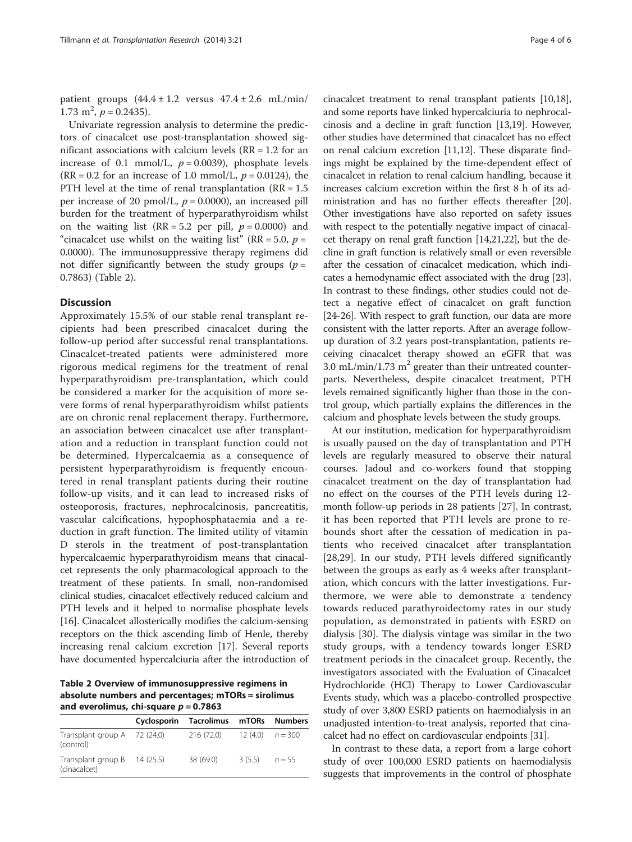patient groups  $(44.4 \pm 1.2 \text{ versus } 47.4 \pm 2.6 \text{ mL/min/}$ 1.73 m<sup>2</sup>,  $p = 0.2435$ ).

Univariate regression analysis to determine the predictors of cinacalcet use post-transplantation showed significant associations with calcium levels (RR = 1.2 for an increase of 0.1 mmol/L,  $p = 0.0039$ ), phosphate levels (RR = 0.2 for an increase of 1.0 mmol/L,  $p = 0.0124$ ), the PTH level at the time of renal transplantation ( $RR = 1.5$ ) per increase of 20 pmol/L,  $p = 0.0000$ ), an increased pill burden for the treatment of hyperparathyroidism whilst on the waiting list ( $RR = 5.2$  per pill,  $p = 0.0000$ ) and "cinacalcet use whilst on the waiting list" ( $RR = 5.0$ ,  $p =$ 0.0000). The immunosuppressive therapy regimens did not differ significantly between the study groups ( $p =$ 0.7863) (Table 2).

### **Discussion**

Approximately 15.5% of our stable renal transplant recipients had been prescribed cinacalcet during the follow-up period after successful renal transplantations. Cinacalcet-treated patients were administered more rigorous medical regimens for the treatment of renal hyperparathyroidism pre-transplantation, which could be considered a marker for the acquisition of more severe forms of renal hyperparathyroidism whilst patients are on chronic renal replacement therapy. Furthermore, an association between cinacalcet use after transplantation and a reduction in transplant function could not be determined. Hypercalcaemia as a consequence of persistent hyperparathyroidism is frequently encountered in renal transplant patients during their routine follow-up visits, and it can lead to increased risks of osteoporosis, fractures, nephrocalcinosis, pancreatitis, vascular calcifications, hypophosphataemia and a reduction in graft function. The limited utility of vitamin D sterols in the treatment of post-transplantation hypercalcaemic hyperparathyroidism means that cinacalcet represents the only pharmacological approach to the treatment of these patients. In small, non-randomised clinical studies, cinacalcet effectively reduced calcium and PTH levels and it helped to normalise phosphate levels [[16](#page-5-0)]. Cinacalcet allosterically modifies the calcium-sensing receptors on the thick ascending limb of Henle, thereby increasing renal calcium excretion [[17](#page-5-0)]. Several reports have documented hypercalciuria after the introduction of

Table 2 Overview of immunosuppressive regimens in absolute numbers and percentages; mTORs = sirolimus and everolimus, chi-square  $p = 0.7863$ 

|                                              |  | Cyclosporin Tacrolimus mTORs Numbers |                     |  |  |  |  |  |
|----------------------------------------------|--|--------------------------------------|---------------------|--|--|--|--|--|
| Transplant group A 72 (24.0)<br>(control)    |  | 216 (72.0)                           | $12(4.0)$ $n = 300$ |  |  |  |  |  |
| Transplant group B 14 (25.5)<br>(cinacalcet) |  | 38 (69.0)                            | 3 (5.5) $n = 55$    |  |  |  |  |  |

cinacalcet treatment to renal transplant patients [\[10,18](#page-5-0)], and some reports have linked hypercalciuria to nephrocalcinosis and a decline in graft function [[13,19\]](#page-5-0). However, other studies have determined that cinacalcet has no effect on renal calcium excretion [[11,12\]](#page-5-0). These disparate findings might be explained by the time-dependent effect of cinacalcet in relation to renal calcium handling, because it increases calcium excretion within the first 8 h of its administration and has no further effects thereafter [[20](#page-5-0)]. Other investigations have also reported on safety issues with respect to the potentially negative impact of cinacalcet therapy on renal graft function [[14,21,22\]](#page-5-0), but the decline in graft function is relatively small or even reversible after the cessation of cinacalcet medication, which indicates a hemodynamic effect associated with the drug [[23](#page-5-0)]. In contrast to these findings, other studies could not detect a negative effect of cinacalcet on graft function [[24](#page-5-0)-[26\]](#page-5-0). With respect to graft function, our data are more consistent with the latter reports. After an average followup duration of 3.2 years post-transplantation, patients receiving cinacalcet therapy showed an eGFR that was 3.0 mL/min/1.73  $m^2$  greater than their untreated counterparts. Nevertheless, despite cinacalcet treatment, PTH levels remained significantly higher than those in the control group, which partially explains the differences in the calcium and phosphate levels between the study groups.

At our institution, medication for hyperparathyroidism is usually paused on the day of transplantation and PTH levels are regularly measured to observe their natural courses. Jadoul and co-workers found that stopping cinacalcet treatment on the day of transplantation had no effect on the courses of the PTH levels during 12 month follow-up periods in 28 patients [[27\]](#page-5-0). In contrast, it has been reported that PTH levels are prone to rebounds short after the cessation of medication in patients who received cinacalcet after transplantation [[28,29](#page-5-0)]. In our study, PTH levels differed significantly between the groups as early as 4 weeks after transplantation, which concurs with the latter investigations. Furthermore, we were able to demonstrate a tendency towards reduced parathyroidectomy rates in our study population, as demonstrated in patients with ESRD on dialysis [\[30](#page-5-0)]. The dialysis vintage was similar in the two study groups, with a tendency towards longer ESRD treatment periods in the cinacalcet group. Recently, the investigators associated with the Evaluation of Cinacalcet Hydrochloride (HCl) Therapy to Lower Cardiovascular Events study, which was a placebo-controlled prospective study of over 3,800 ESRD patients on haemodialysis in an unadjusted intention-to-treat analysis, reported that cinacalcet had no effect on cardiovascular endpoints [\[31\]](#page-5-0).

In contrast to these data, a report from a large cohort study of over 100,000 ESRD patients on haemodialysis suggests that improvements in the control of phosphate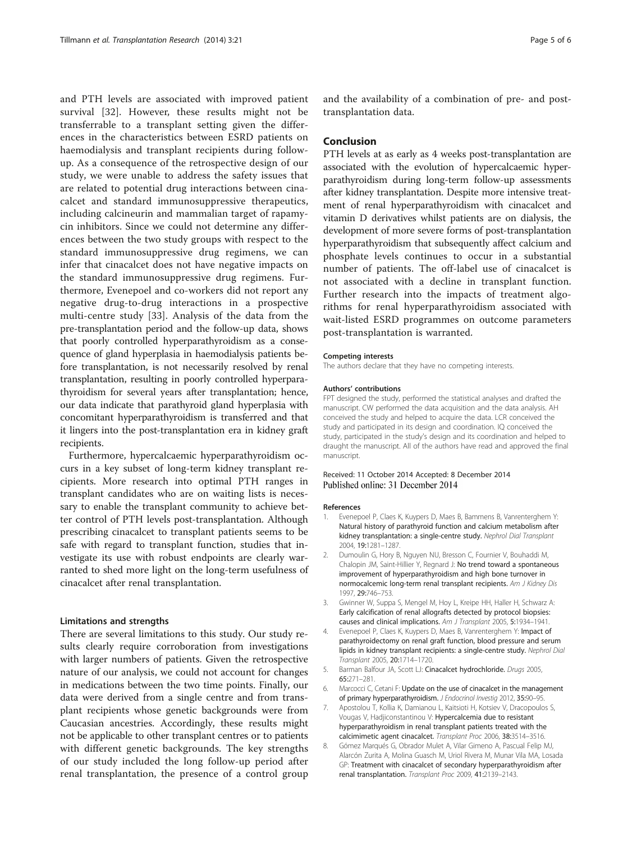<span id="page-4-0"></span>and PTH levels are associated with improved patient survival [[32](#page-5-0)]. However, these results might not be transferrable to a transplant setting given the differences in the characteristics between ESRD patients on haemodialysis and transplant recipients during followup. As a consequence of the retrospective design of our study, we were unable to address the safety issues that are related to potential drug interactions between cinacalcet and standard immunosuppressive therapeutics, including calcineurin and mammalian target of rapamycin inhibitors. Since we could not determine any differences between the two study groups with respect to the standard immunosuppressive drug regimens, we can infer that cinacalcet does not have negative impacts on the standard immunosuppressive drug regimens. Furthermore, Evenepoel and co-workers did not report any negative drug-to-drug interactions in a prospective multi-centre study [[33\]](#page-5-0). Analysis of the data from the pre-transplantation period and the follow-up data, shows that poorly controlled hyperparathyroidism as a consequence of gland hyperplasia in haemodialysis patients before transplantation, is not necessarily resolved by renal transplantation, resulting in poorly controlled hyperparathyroidism for several years after transplantation; hence, our data indicate that parathyroid gland hyperplasia with concomitant hyperparathyroidism is transferred and that it lingers into the post-transplantation era in kidney graft recipients.

Furthermore, hypercalcaemic hyperparathyroidism occurs in a key subset of long-term kidney transplant recipients. More research into optimal PTH ranges in transplant candidates who are on waiting lists is necessary to enable the transplant community to achieve better control of PTH levels post-transplantation. Although prescribing cinacalcet to transplant patients seems to be safe with regard to transplant function, studies that investigate its use with robust endpoints are clearly warranted to shed more light on the long-term usefulness of cinacalcet after renal transplantation.

### Limitations and strengths

There are several limitations to this study. Our study results clearly require corroboration from investigations with larger numbers of patients. Given the retrospective nature of our analysis, we could not account for changes in medications between the two time points. Finally, our data were derived from a single centre and from transplant recipients whose genetic backgrounds were from Caucasian ancestries. Accordingly, these results might not be applicable to other transplant centres or to patients with different genetic backgrounds. The key strengths of our study included the long follow-up period after renal transplantation, the presence of a control group and the availability of a combination of pre- and posttransplantation data.

### Conclusion

PTH levels at as early as 4 weeks post-transplantation are associated with the evolution of hypercalcaemic hyperparathyroidism during long-term follow-up assessments after kidney transplantation. Despite more intensive treatment of renal hyperparathyroidism with cinacalcet and vitamin D derivatives whilst patients are on dialysis, the development of more severe forms of post-transplantation hyperparathyroidism that subsequently affect calcium and phosphate levels continues to occur in a substantial number of patients. The off-label use of cinacalcet is not associated with a decline in transplant function. Further research into the impacts of treatment algorithms for renal hyperparathyroidism associated with wait-listed ESRD programmes on outcome parameters post-transplantation is warranted.

### Competing interests

The authors declare that they have no competing interests.

### Authors' contributions

FPT designed the study, performed the statistical analyses and drafted the manuscript. CW performed the data acquisition and the data analysis. AH conceived the study and helped to acquire the data. LCR conceived the study and participated in its design and coordination. IQ conceived the study, participated in the study's design and its coordination and helped to draught the manuscript. All of the authors have read and approved the final manuscript.

### Received: 11 October 2014 Accepted: 8 December 2014 Published online: 31 December 2014

### References

- 1. Evenepoel P, Claes K, Kuypers D, Maes B, Bammens B, Vanrenterghem Y: Natural history of parathyroid function and calcium metabolism after kidney transplantation: a single-centre study. Nephrol Dial Transplant 2004, 19:1281–1287.
- 2. Dumoulin G, Hory B, Nguyen NU, Bresson C, Fournier V, Bouhaddi M, Chalopin JM, Saint-Hillier Y, Regnard J: No trend toward a spontaneous improvement of hyperparathyroidism and high bone turnover in normocalcemic long-term renal transplant recipients. Am J Kidney Dis 1997, 29:746–753.
- 3. Gwinner W, Suppa S, Mengel M, Hoy L, Kreipe HH, Haller H, Schwarz A: Early calcification of renal allografts detected by protocol biopsies: causes and clinical implications. Am J Transplant 2005, 5:1934–1941.
- 4. Evenepoel P, Claes K, Kuypers D, Maes B, Vanrenterghem Y: Impact of parathyroidectomy on renal graft function, blood pressure and serum lipids in kidney transplant recipients: a single-centre study. Nephrol Dial Transplant 2005, 20:1714–1720.
- 5. Barman Balfour JA, Scott LJ: Cinacalcet hydrochloride. Drugs 2005, 65:271–281.
- 6. Marcocci C, Cetani F: Update on the use of cinacalcet in the management of primary hyperparathyroidism. J Endocrinol Investig 2012, 35:90-95.
- 7. Apostolou T, Kollia K, Damianou L, Kaitsioti H, Kotsiev V, Dracopoulos S, Vougas V, Hadjiconstantinou V: Hypercalcemia due to resistant hyperparathyroidism in renal transplant patients treated with the calcimimetic agent cinacalcet. Transplant Proc 2006, 38:3514–3516.
- 8. Gómez Marqués G, Obrador Mulet A, Vilar Gimeno A, Pascual Felip MJ, Alarcón Zurita A, Molina Guasch M, Uriol Rivera M, Munar Vila MA, Losada GP: Treatment with cinacalcet of secondary hyperparathyroidism after renal transplantation. Transplant Proc 2009, 41:2139–2143.